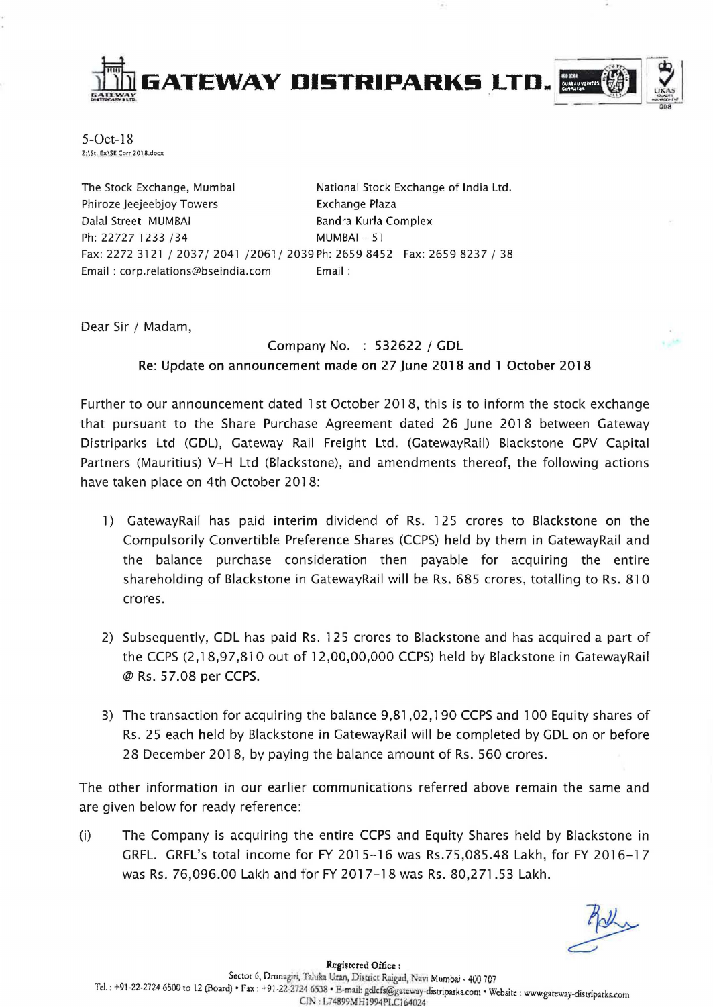

 $5$ -Oct- $18$ <br> $z$ :\St. Ex\SE Corr 2018.docx

The Stock Exchange. Mumbai Phiroze Jeejeebjoy Towers Dalal Street MUMBAI Ph: 22727 1233 /34 National Stock Exchange of India Ltd. Exchange Plaza Bandra Kurla Complex MUMBAI - 51 Fax: 2272 3121 / 2037/ 2041 /2061/ 2039 Ph: 2659 8452 Fax: 2659 8237 / 38 Email : corp.relations@bseindia.com Email :

Dear Sir / Madam,

Company No. : 532622 / CDL Re: Update on announcement made on 27 June 2018 and 1 October 2018

Further to our announcement dated 1st October 2018, this is to inform the stock exchange that pursuant to the Share Purchase Agreement dated 26 June 2018 between Gateway Distriparks Ltd (CDL), Gateway Rail Freight Ltd. (CatewayRail) Blackstone GPV Capital Partners (Mauritius) V-H Ltd (Blackstone), and amendments thereof, the following actions have taken place on 4th October 2018:

- 1) GatewayRail has paid interim dividend of Rs. 125 crores to Blackstone on the Compulsorily Convertible Preference Shares (CCPS) held by them in GatewayRail and the balance purchase consideration then payable for acquiring the entire shareholding of Blackstone in GatewayRail will be Rs. 685 crores, totalling to Rs. 810 crores.
- 2) Subsequently, GDL has paid Rs. 125 crores to Blackstone and has acquired a part of the CCPS (2,18,97,810 out of 12,00,00,000 CCPS) held by Blackstone in GatewayRail @ Rs. 57.08 per CCPS.
- 3) The transaction for acquiring the balance 9,81,02,190 CCPS and 100 Equity shares of Rs. 25 each held by Blackstone in GatewayRail will be completed by GDL on or before 28 December 2018, by paying the balance amount of Rs. 560 crores.

The other information in our earlier communications referred above remain the same and are given below for ready reference:

(i) The Company is acquiring the entire CCPS and Equity Shares held by Blackstone in GRFL. GRFL's total income for FY 2015-16 was Rs.75,085.48 Lakh, for FY 2016-17 was Rs. 76,096.00 Lakh and for FY 2017-18 was Rs. 80,271.53 Lakh.